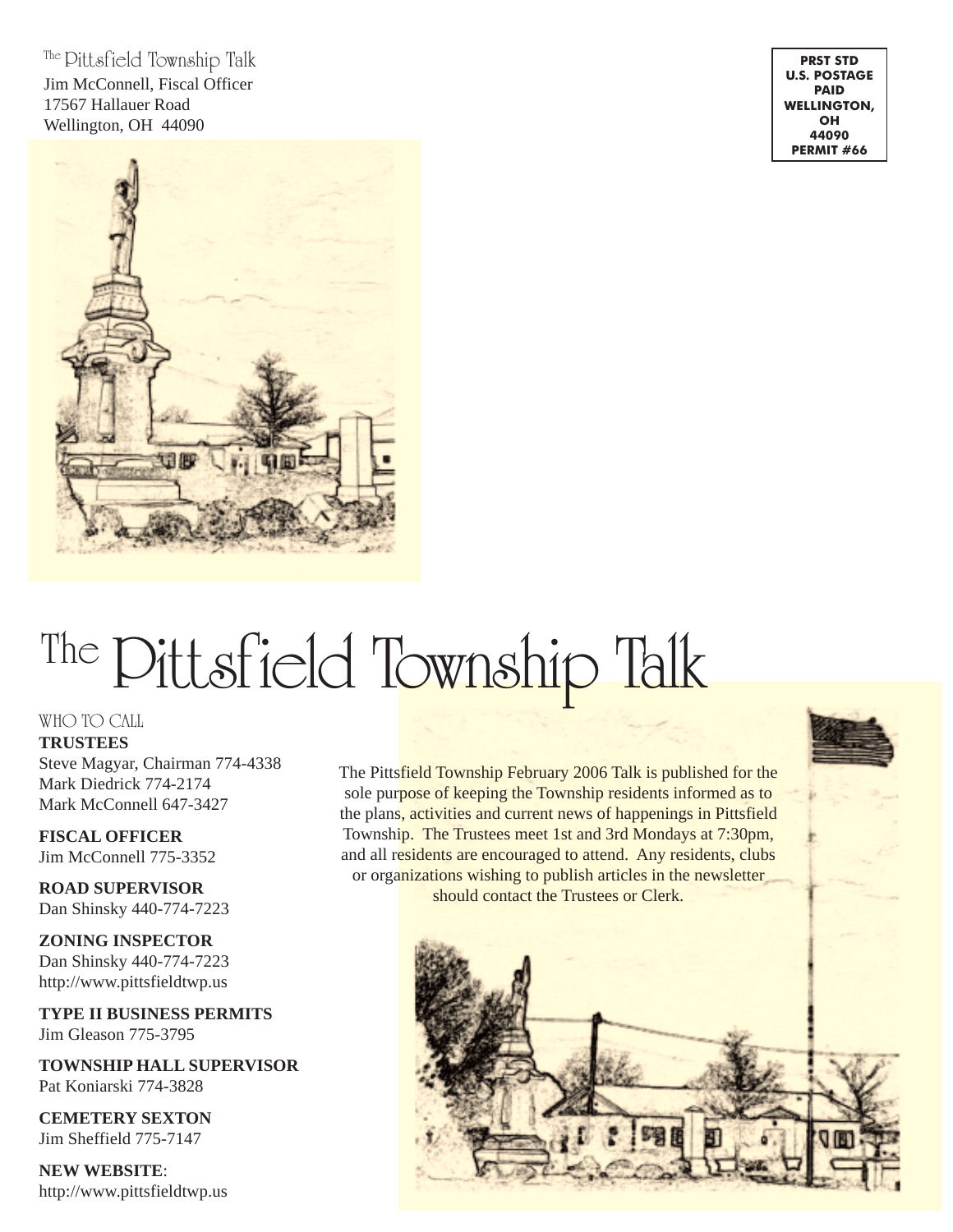The Pittsfield Township Talk Jim McConnell, Fiscal Officer 17567 Hallauer Road Wellington, OH 44090



**PRST STD U.S. POSTAGE PAID WELLINGTON, OH 44090 PERMIT #66**

# The Pittsfield Township Talk

#### WHO TO CALL

**TRUSTEES**

Steve Magyar, Chairman 774-4338 Mark Diedrick 774-2174 Mark McConnell 647-3427

**FISCAL OFFICER** Jim McConnell 775-3352

**ROAD SUPERVISOR** Dan Shinsky 440-774-7223

**ZONING INSPECTOR** Dan Shinsky 440-774-7223 http://www.pittsfieldtwp.us

**TYPE II BUSINESS PERMITS** Jim Gleason 775-3795

**TOWNSHIP HALL SUPERVISOR** Pat Koniarski 774-3828

**CEMETERY SEXTON** Jim Sheffield 775-7147

**NEW WEBSITE**: http://www.pittsfieldtwp.us The Pittsfield Township February 2006 Talk is published for the sole purpose of keeping the Township residents informed as to the plans, activities and current news of happenings in Pittsfield Township. The Trustees meet 1st and 3rd Mondays at 7:30pm, and all residents are encouraged to attend. Any residents, clubs or organizations wishing to publish articles in the newsletter should contact the Trustees or Clerk.

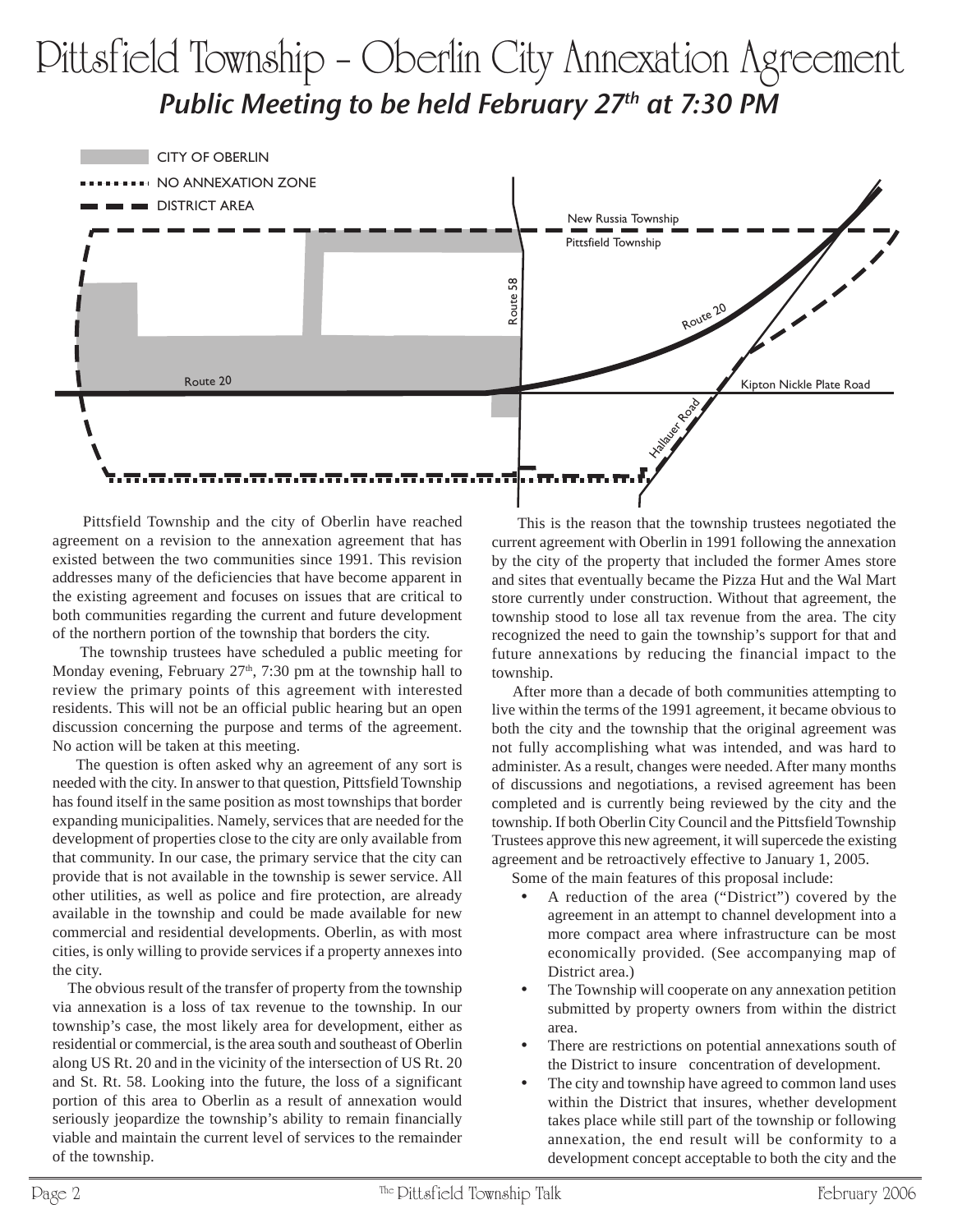## Pittsfield Township – Oberlin City Annexation Agreement Public Meeting to be held February  $27<sup>th</sup>$  at 7:30 PM



 Pittsfield Township and the city of Oberlin have reached agreement on a revision to the annexation agreement that has existed between the two communities since 1991. This revision addresses many of the deficiencies that have become apparent in the existing agreement and focuses on issues that are critical to both communities regarding the current and future development of the northern portion of the township that borders the city.

 The township trustees have scheduled a public meeting for Monday evening, February  $27<sup>th</sup>$ , 7:30 pm at the township hall to review the primary points of this agreement with interested residents. This will not be an official public hearing but an open discussion concerning the purpose and terms of the agreement. No action will be taken at this meeting.

 The question is often asked why an agreement of any sort is needed with the city. In answer to that question, Pittsfield Township has found itself in the same position as most townships that border expanding municipalities. Namely, services that are needed for the development of properties close to the city are only available from that community. In our case, the primary service that the city can provide that is not available in the township is sewer service. All other utilities, as well as police and fire protection, are already available in the township and could be made available for new commercial and residential developments. Oberlin, as with most cities, is only willing to provide services if a property annexes into the city.

 The obvious result of the transfer of property from the township via annexation is a loss of tax revenue to the township. In our township's case, the most likely area for development, either as residential or commercial, is the area south and southeast of Oberlin along US Rt. 20 and in the vicinity of the intersection of US Rt. 20 and St. Rt. 58. Looking into the future, the loss of a significant portion of this area to Oberlin as a result of annexation would seriously jeopardize the township's ability to remain financially viable and maintain the current level of services to the remainder of the township.

 This is the reason that the township trustees negotiated the current agreement with Oberlin in 1991 following the annexation by the city of the property that included the former Ames store and sites that eventually became the Pizza Hut and the Wal Mart store currently under construction. Without that agreement, the township stood to lose all tax revenue from the area. The city recognized the need to gain the township's support for that and future annexations by reducing the financial impact to the township.

 After more than a decade of both communities attempting to live within the terms of the 1991 agreement, it became obvious to both the city and the township that the original agreement was not fully accomplishing what was intended, and was hard to administer. As a result, changes were needed. After many months of discussions and negotiations, a revised agreement has been completed and is currently being reviewed by the city and the township. If both Oberlin City Council and the Pittsfield Township Trustees approve this new agreement, it will supercede the existing agreement and be retroactively effective to January 1, 2005.

Some of the main features of this proposal include:

- A reduction of the area ("District") covered by the agreement in an attempt to channel development into a more compact area where infrastructure can be most economically provided. (See accompanying map of District area.)
- The Township will cooperate on any annexation petition submitted by property owners from within the district area.
- There are restrictions on potential annexations south of the District to insure concentration of development.
- The city and township have agreed to common land uses within the District that insures, whether development takes place while still part of the township or following annexation, the end result will be conformity to a development concept acceptable to both the city and the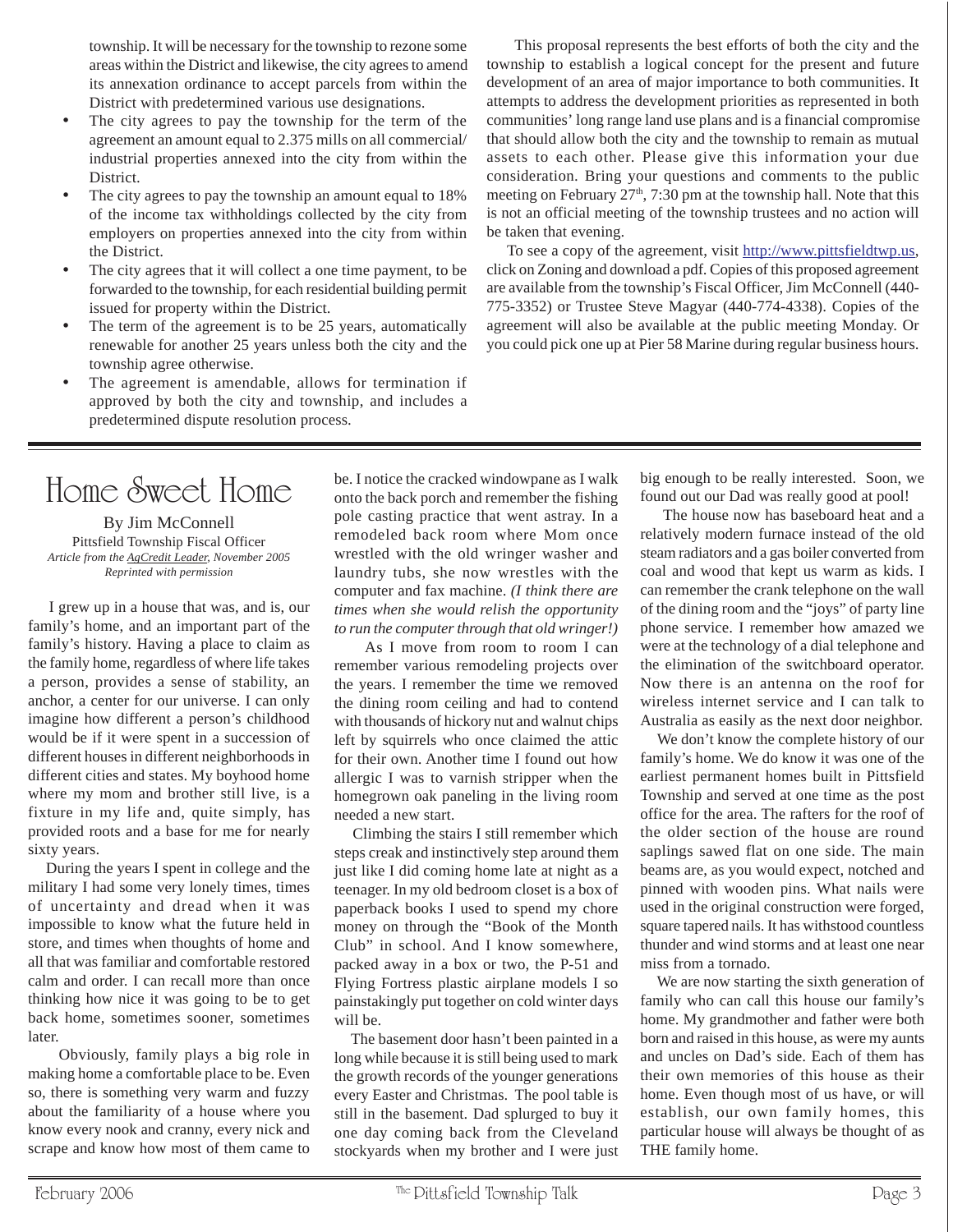township. It will be necessary for the township to rezone some areas within the District and likewise, the city agrees to amend its annexation ordinance to accept parcels from within the District with predetermined various use designations.

- The city agrees to pay the township for the term of the agreement an amount equal to 2.375 mills on all commercial/ industrial properties annexed into the city from within the District.
- The city agrees to pay the township an amount equal to 18% of the income tax withholdings collected by the city from employers on properties annexed into the city from within the District.
- The city agrees that it will collect a one time payment, to be forwarded to the township, for each residential building permit issued for property within the District.
- The term of the agreement is to be 25 years, automatically renewable for another 25 years unless both the city and the township agree otherwise.
- The agreement is amendable, allows for termination if approved by both the city and township, and includes a predetermined dispute resolution process.

This proposal represents the best efforts of both the city and the township to establish a logical concept for the present and future development of an area of major importance to both communities. It attempts to address the development priorities as represented in both communities' long range land use plans and is a financial compromise that should allow both the city and the township to remain as mutual assets to each other. Please give this information your due consideration. Bring your questions and comments to the public meeting on February  $27<sup>th</sup>$ , 7:30 pm at the township hall. Note that this is not an official meeting of the township trustees and no action will be taken that evening.

 To see a copy of the agreement, visit http://www.pittsfieldtwp.us, click on Zoning and download a pdf. Copies of this proposed agreement are available from the township's Fiscal Officer, Jim McConnell (440- 775-3352) or Trustee Steve Magyar (440-774-4338). Copies of the agreement will also be available at the public meeting Monday. Or you could pick one up at Pier 58 Marine during regular business hours.

## Home Sweet Home

By Jim McConnell Pittsfield Township Fiscal Officer *Article from the AgCredit Leader, November 2005 Reprinted with permission*

 I grew up in a house that was, and is, our family's home, and an important part of the family's history. Having a place to claim as the family home, regardless of where life takes a person, provides a sense of stability, an anchor, a center for our universe. I can only imagine how different a person's childhood would be if it were spent in a succession of different houses in different neighborhoods in different cities and states. My boyhood home where my mom and brother still live, is a fixture in my life and, quite simply, has provided roots and a base for me for nearly sixty years.

 During the years I spent in college and the military I had some very lonely times, times of uncertainty and dread when it was impossible to know what the future held in store, and times when thoughts of home and all that was familiar and comfortable restored calm and order. I can recall more than once thinking how nice it was going to be to get back home, sometimes sooner, sometimes later.

 Obviously, family plays a big role in making home a comfortable place to be. Even so, there is something very warm and fuzzy about the familiarity of a house where you know every nook and cranny, every nick and scrape and know how most of them came to

be. I notice the cracked windowpane as I walk onto the back porch and remember the fishing pole casting practice that went astray. In a remodeled back room where Mom once wrestled with the old wringer washer and laundry tubs, she now wrestles with the computer and fax machine. *(I think there are times when she would relish the opportunity to run the computer through that old wringer!)*

 As I move from room to room I can remember various remodeling projects over the years. I remember the time we removed the dining room ceiling and had to contend with thousands of hickory nut and walnut chips left by squirrels who once claimed the attic for their own. Another time I found out how allergic I was to varnish stripper when the homegrown oak paneling in the living room needed a new start.

 Climbing the stairs I still remember which steps creak and instinctively step around them just like I did coming home late at night as a teenager. In my old bedroom closet is a box of paperback books I used to spend my chore money on through the "Book of the Month Club" in school. And I know somewhere, packed away in a box or two, the P-51 and Flying Fortress plastic airplane models I so painstakingly put together on cold winter days will be.

 The basement door hasn't been painted in a long while because it is still being used to mark the growth records of the younger generations every Easter and Christmas. The pool table is still in the basement. Dad splurged to buy it one day coming back from the Cleveland stockyards when my brother and I were just

big enough to be really interested. Soon, we found out our Dad was really good at pool!

 The house now has baseboard heat and a relatively modern furnace instead of the old steam radiators and a gas boiler converted from coal and wood that kept us warm as kids. I can remember the crank telephone on the wall of the dining room and the "joys" of party line phone service. I remember how amazed we were at the technology of a dial telephone and the elimination of the switchboard operator. Now there is an antenna on the roof for wireless internet service and I can talk to Australia as easily as the next door neighbor.

 We don't know the complete history of our family's home. We do know it was one of the earliest permanent homes built in Pittsfield Township and served at one time as the post office for the area. The rafters for the roof of the older section of the house are round saplings sawed flat on one side. The main beams are, as you would expect, notched and pinned with wooden pins. What nails were used in the original construction were forged, square tapered nails. It has withstood countless thunder and wind storms and at least one near miss from a tornado.

 We are now starting the sixth generation of family who can call this house our family's home. My grandmother and father were both born and raised in this house, as were my aunts and uncles on Dad's side. Each of them has their own memories of this house as their home. Even though most of us have, or will establish, our own family homes, this particular house will always be thought of as THE family home.